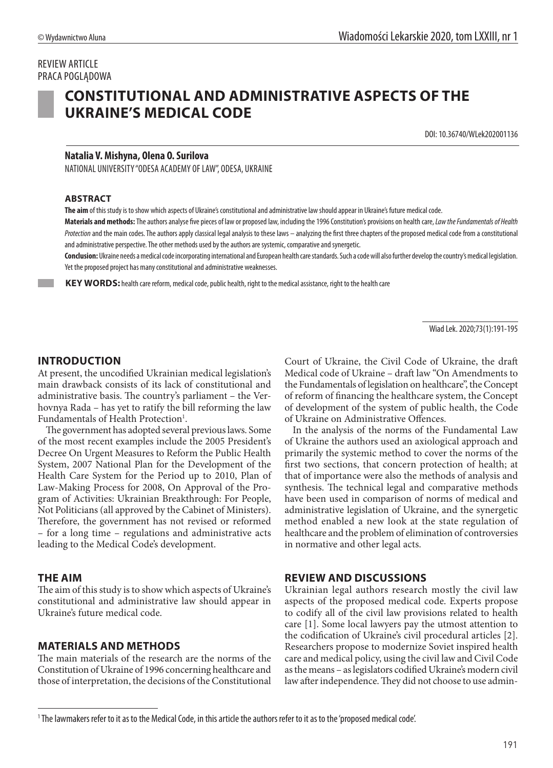# REVIEW ARTICLE PRACA POGLĄDOWA



# **CONSTITUTIONAL AND ADMINISTRATIVE ASPECTS OF THE UKRAINE'S MEDICAL CODE**

DOI: 10.36740/WLek202001136

#### **Natalia V. Mishyna, Olena O. Surilova**

NATIONAL UNIVERSITY "ODESA ACADEMY OF LAW", ODESA, UKRAINE

#### **ABSTRACT**

**The aim** of this study is to show which aspects of Ukraine's constitutional and administrative law should appear in Ukraine's future medical code.

**Materials and methods:** The authors analyse five pieces of law or proposed law, including the 1996 Constitution's provisions on health care, *Law the Fundamentals of Health Protection* and the main codes. The authors apply classical legal analysis to these laws – analyzing the first three chapters of the proposed medical code from a constitutional and administrative perspective. The other methods used by the authors are systemic, comparative and synergetic.

**Conclusion:** Ukraine needs a medical code incorporating international and European health care standards. Such a code will also further develop the country's medical legislation. Yet the proposed project has many constitutional and administrative weaknesses.

 **KEY WORDS:** health care reform, medical code, public health, right to the medical assistance, right to the health care

Wiad Lek. 2020;73(1):191-195

#### **INTRODUCTION**

At present, the uncodified Ukrainian medical legislation's main drawback consists of its lack of constitutional and administrative basis. The country's parliament – the Verhovnya Rada – has yet to ratify the bill reforming the law Fundamentals of Health Protection<sup>1</sup>.

The government has adopted several previous laws. Some of the most recent examples include the 2005 President's Decree On Urgent Measures to Reform the Public Health System, 2007 National Plan for the Development of the Health Care System for the Period up to 2010, Plan of Law-Making Process for 2008, On Approval of the Program of Activities: Ukrainian Breakthrough: For People, Not Politicians (all approved by the Cabinet of Ministers). Therefore, the government has not revised or reformed – for a long time – regulations and administrative acts leading to the Medical Code's development.

#### **THE AIM**

The aim of this study is to show which aspects of Ukraine's constitutional and administrative law should appear in Ukraine's future medical code.

#### **MATERIALS AND METHODS**

The main materials of the research are the norms of the Constitution of Ukraine of 1996 concerning healthcare and those of interpretation, the decisions of the Constitutional Court of Ukraine, the Civil Code of Ukraine, the draft Medical code of Ukraine – draft law "On Amendments to the Fundamentals of legislation on healthcare", the Concept of reform of financing the healthcare system, the Concept of development of the system of public health, the Code of Ukraine on Administrative Offences.

In the analysis of the norms of the Fundamental Law of Ukraine the authors used an axiological approach and primarily the systemic method to cover the norms of the first two sections, that concern protection of health; at that of importance were also the methods of analysis and synthesis. The technical legal and comparative methods have been used in comparison of norms of medical and administrative legislation of Ukraine, and the synergetic method enabled a new look at the state regulation of healthcare and the problem of elimination of controversies in normative and other legal acts.

#### **REVIEW AND DISCUSSIONS**

Ukrainian legal authors research mostly the civil law aspects of the proposed medical code. Experts propose to codify all of the civil law provisions related to health care [1]. Some local lawyers pay the utmost attention to the codification of Ukraine's civil procedural articles [2]. Researchers propose to modernize Soviet inspired health care and medical policy, using the civil law and Civil Code as the means – as legislators codified Ukraine's modern civil law after independence. They did not choose to use admin-

<sup>1</sup> The lawmakers refer to it as to the Medical Code, in this article the authors refer to it as to the 'proposed medical code'.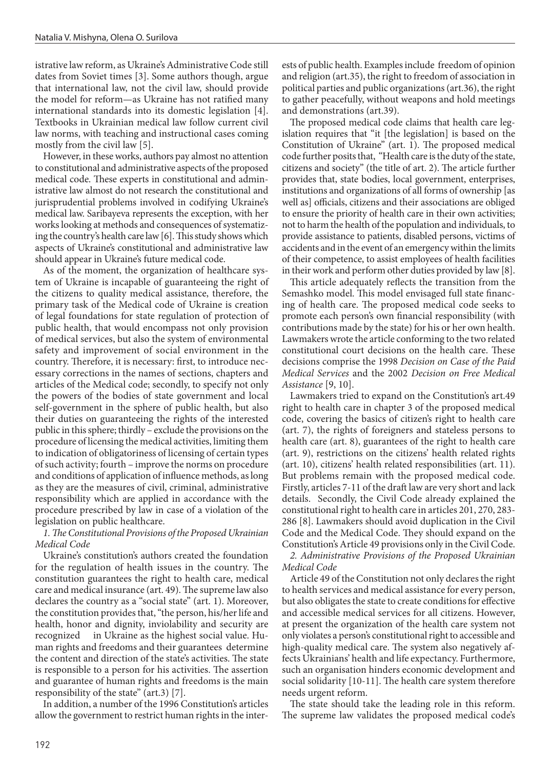istrative law reform, as Ukraine's Administrative Code still dates from Soviet times [3]. Some authors though, argue that international law, not the civil law, should provide the model for reform—as Ukraine has not ratified many international standards into its domestic legislation [4]. Textbooks in Ukrainian medical law follow current civil law norms, with teaching and instructional cases coming mostly from the civil law [5].

However, in these works, authors pay almost no attention to constitutional and administrative aspects of the proposed medical code. These experts in constitutional and administrative law almost do not research the constitutional and jurisprudential problems involved in codifying Ukraine's medical law. Saribayeva represents the exception, with her works looking at methods and consequences of systematizing the country's health care law [6]. This study shows which aspects of Ukraine's constitutional and administrative law should appear in Ukraine's future medical code.

As of the moment, the organization of healthcare system of Ukraine is incapable of guaranteeing the right of the citizens to quality medical assistance, therefore, the primary task of the Medical code of Ukraine is creation of legal foundations for state regulation of protection of public health, that would encompass not only provision of medical services, but also the system of environmental safety and improvement of social environment in the country. Therefore, it is necessary: first, to introduce necessary corrections in the names of sections, chapters and articles of the Medical code; secondly, to specify not only the powers of the bodies of state government and local self-government in the sphere of public health, but also their duties on guaranteeing the rights of the interested public in this sphere; thirdly – exclude the provisions on the procedure of licensing the medical activities, limiting them to indication of obligatoriness of licensing of certain types of such activity; fourth – improve the norms on procedure and conditions of application of influence methods, as long as they are the measures of civil, criminal, administrative responsibility which are applied in accordance with the procedure prescribed by law in case of a violation of the legislation on public healthcare.

*1. The Constitutional Provisions of the Proposed Ukrainian Medical Code*

Ukraine's constitution's authors created the foundation for the regulation of health issues in the country. The constitution guarantees the right to health care, medical care and medical insurance (art. 49). The supreme law also declares the country as a "social state" (art. 1). Moreover, the constitution provides that, "the person, his/her life and health, honor and dignity, inviolability and security are recognized in Ukraine as the highest social value. Human rights and freedoms and their guarantees determine the content and direction of the state's activities. The state is responsible to a person for his activities. The assertion and guarantee of human rights and freedoms is the main responsibility of the state" (art.3) [7].

In addition, a number of the 1996 Constitution's articles allow the government to restrict human rights in the interests of public health. Examples include freedom of opinion and religion (art.35), the right to freedom of association in political parties and public organizations (art.36), the right to gather peacefully, without weapons and hold meetings and demonstrations (art.39).

The proposed medical code claims that health care legislation requires that "it [the legislation] is based on the Constitution of Ukraine" (art. 1). The proposed medical code further posits that, "Health care is the duty of the state, citizens and society" (the title of art. 2). The article further provides that, state bodies, local government, enterprises, institutions and organizations of all forms of ownership [as well as] officials, citizens and their associations are obliged to ensure the priority of health care in their own activities; not to harm the health of the population and individuals, to provide assistance to patients, disabled persons, victims of accidents and in the event of an emergency within the limits of their competence, to assist employees of health facilities in their work and perform other duties provided by law [8].

This article adequately reflects the transition from the Semashko model. This model envisaged full state financing of health care. The proposed medical code seeks to promote each person's own financial responsibility (with contributions made by the state) for his or her own health. Lawmakers wrote the article conforming to the two related constitutional court decisions on the health care. These decisions comprise the 1998 *Decision on Case of the Paid Medical Services* and the 2002 *Decision on Free Medical Assistance* [9, 10].

Lawmakers tried to expand on the Constitution's art.49 right to health care in chapter 3 of the proposed medical code, covering the basics of citizen's right to health care (art. 7), the rights of foreigners and stateless persons to health care (art. 8), guarantees of the right to health care (art. 9), restrictions on the citizens' health related rights (art. 10), citizens' health related responsibilities (art. 11). But problems remain with the proposed medical code. Firstly, articles 7-11 of the draft law are very short and lack details. Secondly, the Civil Code already explained the constitutional right to health care in articles 201, 270, 283- 286 [8]. Lawmakers should avoid duplication in the Civil Code and the Medical Code. They should expand on the Constitution's Article 49 provisions only in the Civil Code.

*2. Administrative Provisions of the Proposed Ukrainian Medical Code*

Article 49 of the Constitution not only declares the right to health services and medical assistance for every person, but also obligates the state to create conditions for effective and accessible medical services for all citizens. However, at present the organization of the health care system not only violates a person's constitutional right to accessible and high-quality medical care. The system also negatively affects Ukrainians' health and life expectancy. Furthermore, such an organisation hinders economic development and social solidarity [10-11]. The health care system therefore needs urgent reform.

The state should take the leading role in this reform. The supreme law validates the proposed medical code's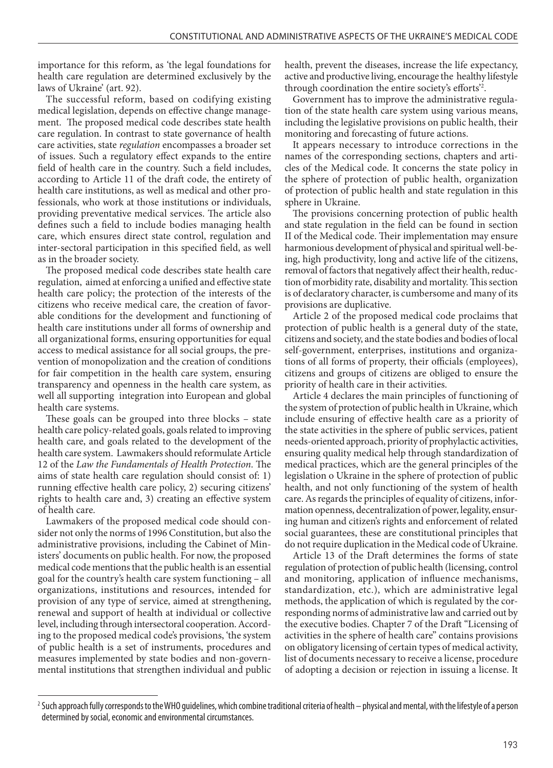importance for this reform, as 'the legal foundations for health care regulation are determined exclusively by the laws of Ukraine' (art. 92).

The successful reform, based on codifying existing medical legislation, depends on effective change management. The proposed medical code describes state health care regulation. In contrast to state governance of health care activities, state *regulation* encompasses a broader set of issues. Such a regulatory effect expands to the entire field of health care in the country. Such a field includes, according to Article 11 of the draft code, the entirety of health care institutions, as well as medical and other professionals, who work at those institutions or individuals, providing preventative medical services. The article also defines such a field to include bodies managing health care, which ensures direct state control, regulation and inter-sectoral participation in this specified field, as well as in the broader society.

The proposed medical code describes state health care regulation, aimed at enforcing a unified and effective state health care policy; the protection of the interests of the citizens who receive medical care, the creation of favorable conditions for the development and functioning of health care institutions under all forms of ownership and all organizational forms, ensuring opportunities for equal access to medical assistance for all social groups, the prevention of monopolization and the creation of conditions for fair competition in the health care system, ensuring transparency and openness in the health care system, as well all supporting integration into European and global health care systems.

These goals can be grouped into three blocks – state health care policy-related goals, goals related to improving health care, and goals related to the development of the health care system. Lawmakers should reformulate Article 12 of the *Law the Fundamentals of Health Protection*. The aims of state health care regulation should consist of: 1) running effective health care policy, 2) securing citizens' rights to health care and, 3) creating an effective system of health care.

Lawmakers of the proposed medical code should consider not only the norms of 1996 Constitution, but also the administrative provisions, including the Cabinet of Ministers' documents on public health. For now, the proposed medical code mentions that the public health is an essential goal for the country's health care system functioning – all organizations, institutions and resources, intended for provision of any type of service, aimed at strengthening, renewal and support of health at individual or collective level, including through intersectoral cooperation. According to the proposed medical code's provisions, 'the system of public health is a set of instruments, procedures and measures implemented by state bodies and non-governmental institutions that strengthen individual and public health, prevent the diseases, increase the life expectancy, active and productive living, encourage the healthy lifestyle through coordination the entire society's efforts'2 .

Government has to improve the administrative regulation of the state health care system using various means, including the legislative provisions on public health, their monitoring and forecasting of future actions.

It appears necessary to introduce corrections in the names of the corresponding sections, chapters and articles of the Medical code. It concerns the state policy in the sphere of protection of public health, organization of protection of public health and state regulation in this sphere in Ukraine.

The provisions concerning protection of public health and state regulation in the field can be found in section II of the Medical code. Their implementation may ensure harmonious development of physical and spiritual well-being, high productivity, long and active life of the citizens, removal of factors that negatively affect their health, reduction of morbidity rate, disability and mortality. This section is of declaratory character, is cumbersome and many of its provisions are duplicative.

Article 2 of the proposed medical code proclaims that protection of public health is a general duty of the state, citizens and society, and the state bodies and bodies of local self-government, enterprises, institutions and organizations of all forms of property, their officials (employees), citizens and groups of citizens are obliged to ensure the priority of health care in their activities.

Article 4 declares the main principles of functioning of the system of protection of public health in Ukraine, which include ensuring of effective health care as a priority of the state activities in the sphere of public services, patient needs-oriented approach, priority of prophylactic activities, ensuring quality medical help through standardization of medical practices, which are the general principles of the legislation o Ukraine in the sphere of protection of public health, and not only functioning of the system of health care. As regards the principles of equality of citizens, information openness, decentralization of power, legality, ensuring human and citizen's rights and enforcement of related social guarantees, these are constitutional principles that do not require duplication in the Medical code of Ukraine.

Article 13 of the Draft determines the forms of state regulation of protection of public health (licensing, control and monitoring, application of influence mechanisms, standardization, etc.), which are administrative legal methods, the application of which is regulated by the corresponding norms of administrative law and carried out by the executive bodies. Chapter 7 of the Draft "Licensing of activities in the sphere of health care" contains provisions on obligatory licensing of certain types of medical activity, list of documents necessary to receive a license, procedure of adopting a decision or rejection in issuing a license. It

<sup>&</sup>lt;sup>2</sup> Such approach fully corresponds to the WHO guidelines, which combine traditional criteria of health – physical and mental, with the lifestyle of a person determined by social, economic and environmental circumstances.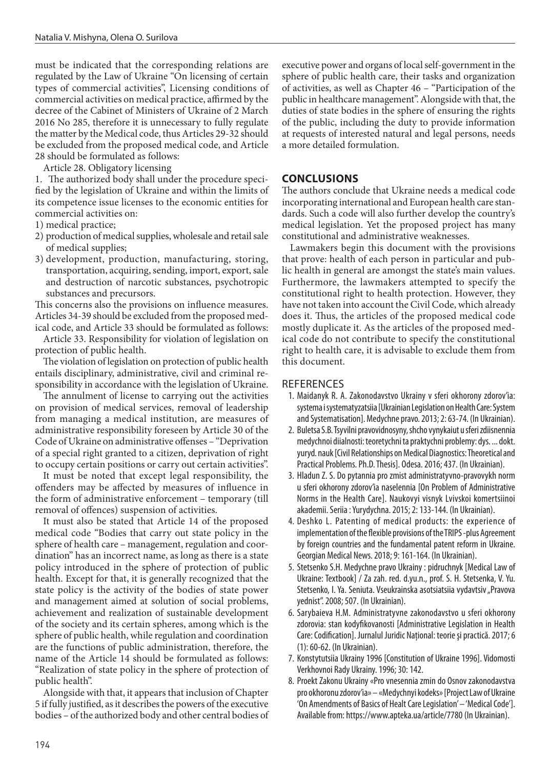must be indicated that the corresponding relations are regulated by the Law of Ukraine "On licensing of certain types of commercial activities", Licensing conditions of commercial activities on medical practice, affirmed by the decree of the Cabinet of Ministers of Ukraine of 2 March 2016 No 285, therefore it is unnecessary to fully regulate the matter by the Medical code, thus Articles 29-32 should be excluded from the proposed medical code, and Article 28 should be formulated as follows:

Article 28. Obligatory licensing

1. The authorized body shall under the procedure specified by the legislation of Ukraine and within the limits of its competence issue licenses to the economic entities for commercial activities on:

- 1) medical practice;
- 2) production of medical supplies, wholesale and retail sale of medical supplies;
- 3) development, production, manufacturing, storing, transportation, acquiring, sending, import, export, sale and destruction of narcotic substances, psychotropic substances and precursors.

This concerns also the provisions on influence measures. Articles 34-39 should be excluded from the proposed medical code, and Article 33 should be formulated as follows:

Article 33. Responsibility for violation of legislation on protection of public health.

The violation of legislation on protection of public health entails disciplinary, administrative, civil and criminal responsibility in accordance with the legislation of Ukraine.

The annulment of license to carrying out the activities on provision of medical services, removal of leadership from managing a medical institution, are measures of administrative responsibility foreseen by Article 30 of the Code of Ukraine on administrative offenses – "Deprivation of a special right granted to a citizen, deprivation of right to occupy certain positions or carry out certain activities".

It must be noted that except legal responsibility, the offenders may be affected by measures of influence in the form of administrative enforcement – temporary (till removal of offences) suspension of activities.

It must also be stated that Article 14 of the proposed medical code "Bodies that carry out state policy in the sphere of health care – management, regulation and coordination" has an incorrect name, as long as there is a state policy introduced in the sphere of protection of public health. Except for that, it is generally recognized that the state policy is the activity of the bodies of state power and management aimed at solution of social problems, achievement and realization of sustainable development of the society and its certain spheres, among which is the sphere of public health, while regulation and coordination are the functions of public administration, therefore, the name of the Article 14 should be formulated as follows: "Realization of state policy in the sphere of protection of public health".

Alongside with that, it appears that inclusion of Chapter 5 if fully justified, as it describes the powers of the executive bodies – of the authorized body and other central bodies of executive power and organs of local self-government in the sphere of public health care, their tasks and organization of activities, as well as Chapter 46 – "Participation of the public in healthcare management". Alongside with that, the duties of state bodies in the sphere of ensuring the rights of the public, including the duty to provide information at requests of interested natural and legal persons, needs a more detailed formulation.

### **CONCLUSIONS**

The authors conclude that Ukraine needs a medical code incorporating international and European health care standards. Such a code will also further develop the country's medical legislation. Yet the proposed project has many constitutional and administrative weaknesses.

Lawmakers begin this document with the provisions that prove: health of each person in particular and public health in general are amongst the state's main values. Furthermore, the lawmakers attempted to specify the constitutional right to health protection. However, they have not taken into account the Civil Code, which already does it. Thus, the articles of the proposed medical code mostly duplicate it. As the articles of the proposed medical code do not contribute to specify the constitutional right to health care, it is advisable to exclude them from this document.

### **REFERENCES**

- 1. Maidanyk R. A. Zakonodavstvo Ukrainy v sferi okhorony zdorov'ia: systema i systematyzatsiia [Ukrainian Legislation on Health Care: System and Systematisation]. Medychne pravo. 2013; 2: 63-74. (In Ukrainian).
- 2. Buletsa S.B. Tsyvilni pravovidnosyny, shcho vynykaiut u sferi zdiisnennia medychnoi diialnosti: teoretychni ta praktychni problemy: dys. ... dokt. yuryd. nauk [Civil Relationships on Medical Diagnostics: Theoretical and Practical Problems. Ph.D. Thesis]. Odesa. 2016; 437. (In Ukrainian).
- 3. Hladun Z. S. Do pytannia pro zmist administratyvno-pravovykh norm u sferi okhorony zdorov'ia naselennia [On Problem of Administrative Norms in the Health Care]. Naukovyi visnyk Lvivskoi komertsiinoi akademii. Seriia : Yurydychna. 2015; 2: 133-144. (In Ukrainian).
- 4. Deshko L. Patenting of medical products: the experience of implementation of the flexible provisions of the TRIPS -plus Agreement by foreign countries and the fundamental patent reform in Ukraine. Georgian Medical News. 2018; 9: 161-164. (In Ukrainian).
- 5. Stetsenko S.H. Medychne pravo Ukrainy : pidruchnyk [Medical Law of Ukraine: Textbook] / Za zah. red. d.yu.n., prof. S. H. Stetsenka, V. Yu. Stetsenko, I. Ya. Seniuta. Vseukrainska asotsiatsiia vydavtsiv "Pravova yednist". 2008; 507. (In Ukrainian).
- 6. Sarybaieva H.M. Administratyvne zakonodavstvo u sferi okhorony zdorovia: stan kodyfikovanosti [Administrative Legislation in Health Care: Codification]. Jurnalul Juridic Naţional: teorie şi practică. 2017; 6 (1): 60-62. (In Ukrainian).
- 7. Konstytutsiia Ukrainy 1996 [Constitution of Ukraine 1996]. Vidomosti Verkhovnoi Rady Ukrainy. 1996; 30: 142.
- 8. Proekt Zakonu Ukrainy «Pro vnesennia zmin do Osnov zakonodavstva pro okhoronu zdorov'ia» – «Medychnyi kodeks» [Project Law of Ukraine 'On Amendments of Basics of Healt Care Legislation' – 'Medical Code']. Available from: https://www.apteka.ua/article/7780 (In Ukrainian).